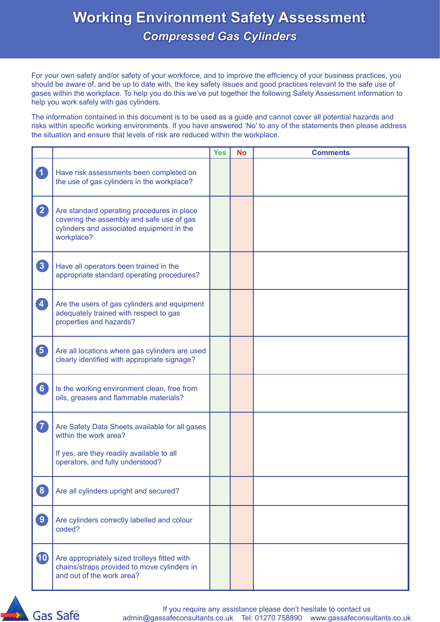For your own safety and/or safety of your workforce, and to improve the efficiency of your business practices, you should be aware of, and be up to date with, the key safety issues and good practices relevant to the safe use of gases within the workplace. To help you do this we've put together the following Safety Assessment information to help you work safely with gas cylinders.

The information contained in this document is to be used as a guide and cannot cover all potential hazards and risks within specific working environments. If you have answered 'No' to any of the statements then please address the situation and ensure that levels of risk are reduced within the workplace.

|                   |                                                                                                                                                          | <b>Yes</b> | <b>No</b> | <b>Comments</b> |
|-------------------|----------------------------------------------------------------------------------------------------------------------------------------------------------|------------|-----------|-----------------|
| $\boxed{1}$       | Have risk assessments been completed on<br>the use of gas cylinders in the workplace?                                                                    |            |           |                 |
| $\mathbf{2}$      | Are standard operating procedures in place<br>covering the assembly and safe use of gas<br>cylinders and associated equipment in the<br>workplace?       |            |           |                 |
| $\boxed{3}$       | Have all operators been trained in the<br>appropriate standard operating procedures?                                                                     |            |           |                 |
| $\overline{4}$    | Are the users of gas cylinders and equipment<br>adequately trained with respect to gas<br>properties and hazards?                                        |            |           |                 |
| 6                 | Are all locations where gas cylinders are used<br>clearly identified with appropriate signage?                                                           |            |           |                 |
| 6                 | Is the working environment clean, free from<br>oils, greases and flammable materials?                                                                    |            |           |                 |
| 7                 | Are Safety Data Sheets available for all gases<br>within the work area?<br>If yes, are they readily available to all<br>operators, and fully understood? |            |           |                 |
| $\boxed{8}$       | Are all cylinders upright and secured?                                                                                                                   |            |           |                 |
| $\left( 9\right)$ | Are cylinders correctly labelled and colour<br>coded?                                                                                                    |            |           |                 |
| <b>10</b>         | Are appropriately sized trolleys fitted with<br>chains/straps provided to move cylinders in<br>and out of the work area?                                 |            |           |                 |

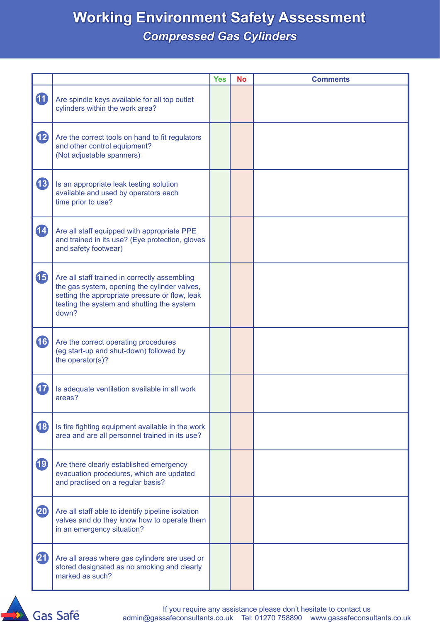|                          |                                                                                                                                                                                                        | <b>Yes</b> | <b>No</b> | <b>Comments</b> |
|--------------------------|--------------------------------------------------------------------------------------------------------------------------------------------------------------------------------------------------------|------------|-----------|-----------------|
| 10                       | Are spindle keys available for all top outlet<br>cylinders within the work area?                                                                                                                       |            |           |                 |
| <b>12</b>                | Are the correct tools on hand to fit regulators<br>and other control equipment?<br>(Not adjustable spanners)                                                                                           |            |           |                 |
| <b>13</b>                | Is an appropriate leak testing solution<br>available and used by operators each<br>time prior to use?                                                                                                  |            |           |                 |
| 14                       | Are all staff equipped with appropriate PPE<br>and trained in its use? (Eye protection, gloves<br>and safety footwear)                                                                                 |            |           |                 |
| <b>15</b>                | Are all staff trained in correctly assembling<br>the gas system, opening the cylinder valves,<br>setting the appropriate pressure or flow, leak<br>testing the system and shutting the system<br>down? |            |           |                 |
| 16                       | Are the correct operating procedures<br>(eg start-up and shut-down) followed by<br>the operator(s)?                                                                                                    |            |           |                 |
| <b>17</b>                | Is adequate ventilation available in all work<br>areas?                                                                                                                                                |            |           |                 |
| <b>18</b>                | Is fire fighting equipment available in the work<br>area and are all personnel trained in its use?                                                                                                     |            |           |                 |
| 19                       | Are there clearly established emergency<br>evacuation procedures, which are updated<br>and practised on a regular basis?                                                                               |            |           |                 |
| 20                       | Are all staff able to identify pipeline isolation<br>valves and do they know how to operate them<br>in an emergency situation?                                                                         |            |           |                 |
| $\overline{\mathbf{21}}$ | Are all areas where gas cylinders are used or<br>stored designated as no smoking and clearly<br>marked as such?                                                                                        |            |           |                 |

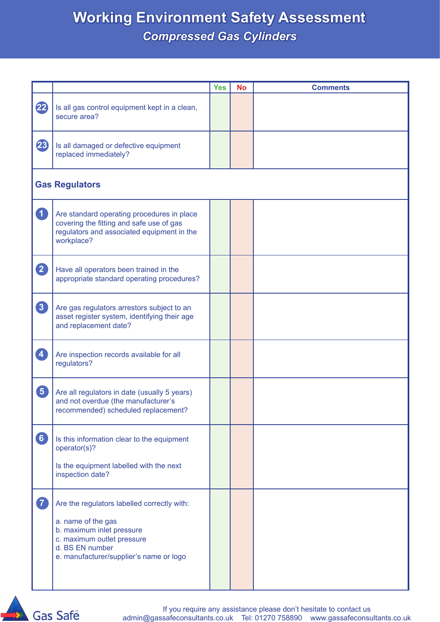|                         |                                                                                                                                                                                            | <b>Yes</b> | <b>No</b> | <b>Comments</b> |  |  |
|-------------------------|--------------------------------------------------------------------------------------------------------------------------------------------------------------------------------------------|------------|-----------|-----------------|--|--|
| $\mathbf{22}$           | Is all gas control equipment kept in a clean,<br>secure area?                                                                                                                              |            |           |                 |  |  |
| 23                      | Is all damaged or defective equipment<br>replaced immediately?                                                                                                                             |            |           |                 |  |  |
|                         | <b>Gas Regulators</b>                                                                                                                                                                      |            |           |                 |  |  |
| $\blacksquare$          | Are standard operating procedures in place<br>covering the fitting and safe use of gas<br>regulators and associated equipment in the<br>workplace?                                         |            |           |                 |  |  |
| 2                       | Have all operators been trained in the<br>appropriate standard operating procedures?                                                                                                       |            |           |                 |  |  |
| 3                       | Are gas regulators arrestors subject to an<br>asset register system, identifying their age<br>and replacement date?                                                                        |            |           |                 |  |  |
| $\left  \bm{A} \right $ | Are inspection records available for all<br>regulators?                                                                                                                                    |            |           |                 |  |  |
| $\boxed{5}$             | Are all regulators in date (usually 5 years)<br>and not overdue (the manufacturer's<br>recommended) scheduled replacement?                                                                 |            |           |                 |  |  |
| 6                       | Is this information clear to the equipment<br>operator(s)?<br>Is the equipment labelled with the next<br>inspection date?                                                                  |            |           |                 |  |  |
| $\overline{7}$          | Are the regulators labelled correctly with:<br>a. name of the gas<br>b. maximum inlet pressure<br>c. maximum outlet pressure<br>d. BS EN number<br>e. manufacturer/supplier's name or logo |            |           |                 |  |  |

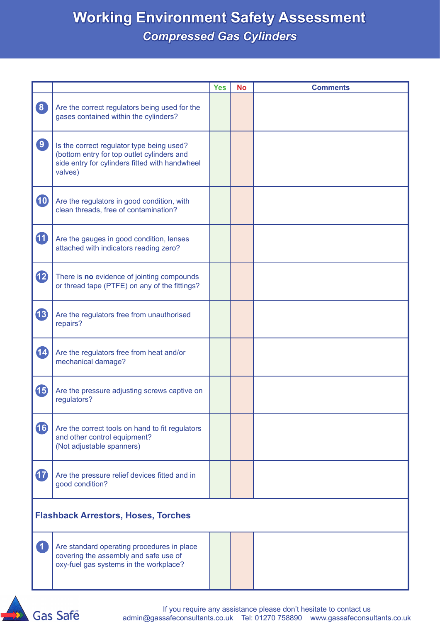|                                            |                                                                                                                                                      | <b>Yes</b> | <b>No</b> | <b>Comments</b> |
|--------------------------------------------|------------------------------------------------------------------------------------------------------------------------------------------------------|------------|-----------|-----------------|
| $\boxed{8}$                                | Are the correct regulators being used for the<br>gases contained within the cylinders?                                                               |            |           |                 |
| $\boxed{9}$                                | Is the correct regulator type being used?<br>(bottom entry for top outlet cylinders and<br>side entry for cylinders fitted with handwheel<br>valves) |            |           |                 |
| <b>10</b>                                  | Are the regulators in good condition, with<br>clean threads, free of contamination?                                                                  |            |           |                 |
| $\bf \Phi$                                 | Are the gauges in good condition, lenses<br>attached with indicators reading zero?                                                                   |            |           |                 |
| 12                                         | There is no evidence of jointing compounds<br>or thread tape (PTFE) on any of the fittings?                                                          |            |           |                 |
| 13                                         | Are the regulators free from unauthorised<br>repairs?                                                                                                |            |           |                 |
| 14                                         | Are the regulators free from heat and/or<br>mechanical damage?                                                                                       |            |           |                 |
| <b>45</b>                                  | Are the pressure adjusting screws captive on<br>regulators?                                                                                          |            |           |                 |
| 16                                         | Are the correct tools on hand to fit regulators<br>and other control equipment?<br>(Not adjustable spanners)                                         |            |           |                 |
| 17                                         | Are the pressure relief devices fitted and in<br>good condition?                                                                                     |            |           |                 |
| <b>Flashback Arrestors, Hoses, Torches</b> |                                                                                                                                                      |            |           |                 |
| $\overline{1}$                             | Are standard operating procedures in place<br>covering the assembly and safe use of<br>oxy-fuel gas systems in the workplace?                        |            |           |                 |

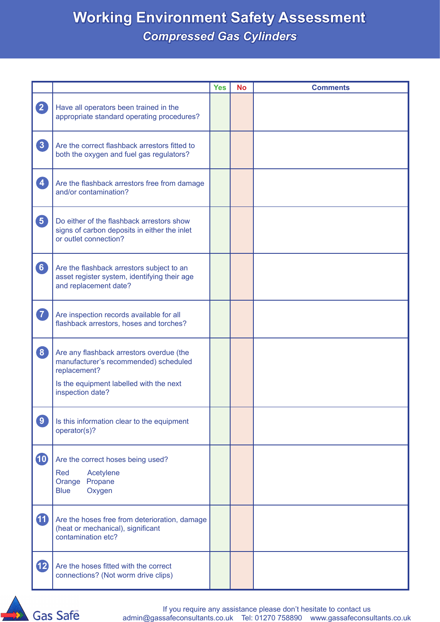|                         |                                                                                                                                                                  | <b>Yes</b> | <b>No</b> | <b>Comments</b> |
|-------------------------|------------------------------------------------------------------------------------------------------------------------------------------------------------------|------------|-----------|-----------------|
| $\mathbf{2}$            | Have all operators been trained in the<br>appropriate standard operating procedures?                                                                             |            |           |                 |
| $\boxed{3}$             | Are the correct flashback arrestors fitted to<br>both the oxygen and fuel gas regulators?                                                                        |            |           |                 |
| $\overline{\mathbf{4}}$ | Are the flashback arrestors free from damage<br>and/or contamination?                                                                                            |            |           |                 |
| $\boxed{5}$             | Do either of the flashback arrestors show<br>signs of carbon deposits in either the inlet<br>or outlet connection?                                               |            |           |                 |
| $\boxed{6}$             | Are the flashback arrestors subject to an<br>asset register system, identifying their age<br>and replacement date?                                               |            |           |                 |
| $\overline{7}$          | Are inspection records available for all<br>flashback arrestors, hoses and torches?                                                                              |            |           |                 |
| $\boxed{8}$             | Are any flashback arrestors overdue (the<br>manufacturer's recommended) scheduled<br>replacement?<br>Is the equipment labelled with the next<br>inspection date? |            |           |                 |
| $\boxed{9}$             | Is this information clear to the equipment<br>operator(s)?                                                                                                       |            |           |                 |
| <b>10</b>               | Are the correct hoses being used?<br>Red<br>Acetylene<br>Propane<br>Orange<br>Oxygen<br><b>Blue</b>                                                              |            |           |                 |
| <b>10</b>               | Are the hoses free from deterioration, damage<br>(heat or mechanical), significant<br>contamination etc?                                                         |            |           |                 |
| 12                      | Are the hoses fitted with the correct<br>connections? (Not worm drive clips)                                                                                     |            |           |                 |

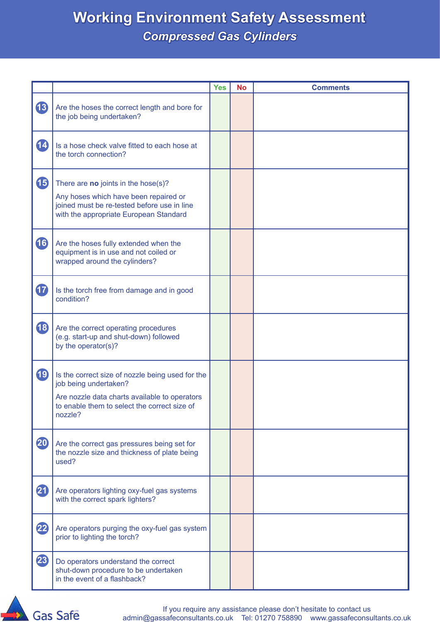|           |                                                                                                                                                                                       | <b>Yes</b> | <b>No</b> | <b>Comments</b> |
|-----------|---------------------------------------------------------------------------------------------------------------------------------------------------------------------------------------|------------|-----------|-----------------|
| <b>13</b> | Are the hoses the correct length and bore for<br>the job being undertaken?                                                                                                            |            |           |                 |
| 14        | Is a hose check valve fitted to each hose at<br>the torch connection?                                                                                                                 |            |           |                 |
| <b>15</b> | There are no joints in the hose(s)?<br>Any hoses which have been repaired or<br>joined must be re-tested before use in line<br>with the appropriate European Standard                 |            |           |                 |
| 16        | Are the hoses fully extended when the<br>equipment is in use and not coiled or<br>wrapped around the cylinders?                                                                       |            |           |                 |
| $\bf{r}$  | Is the torch free from damage and in good<br>condition?                                                                                                                               |            |           |                 |
| <b>18</b> | Are the correct operating procedures<br>(e.g. start-up and shut-down) followed<br>by the operator(s)?                                                                                 |            |           |                 |
| 19        | Is the correct size of nozzle being used for the<br>job being undertaken?<br>Are nozzle data charts available to operators<br>to enable them to select the correct size of<br>nozzle? |            |           |                 |
| 20        | Are the correct gas pressures being set for<br>the nozzle size and thickness of plate being<br>used?                                                                                  |            |           |                 |
| 21        | Are operators lighting oxy-fuel gas systems<br>with the correct spark lighters?                                                                                                       |            |           |                 |
| 22        | Are operators purging the oxy-fuel gas system<br>prior to lighting the torch?                                                                                                         |            |           |                 |
| 23        | Do operators understand the correct<br>shut-down procedure to be undertaken<br>in the event of a flashback?                                                                           |            |           |                 |

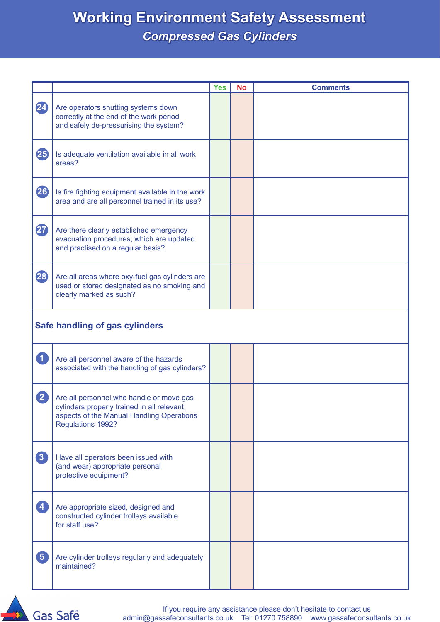|                         |                                                                                                                                                          | <b>Yes</b> | <b>No</b> | <b>Comments</b> |  |
|-------------------------|----------------------------------------------------------------------------------------------------------------------------------------------------------|------------|-----------|-----------------|--|
| 24                      | Are operators shutting systems down<br>correctly at the end of the work period<br>and safely de-pressurising the system?                                 |            |           |                 |  |
| 25                      | Is adequate ventilation available in all work<br>areas?                                                                                                  |            |           |                 |  |
| 26                      | Is fire fighting equipment available in the work<br>area and are all personnel trained in its use?                                                       |            |           |                 |  |
| $\bf 2$                 | Are there clearly established emergency<br>evacuation procedures, which are updated<br>and practised on a regular basis?                                 |            |           |                 |  |
| 28                      | Are all areas where oxy-fuel gas cylinders are<br>used or stored designated as no smoking and<br>clearly marked as such?                                 |            |           |                 |  |
|                         | Safe handling of gas cylinders                                                                                                                           |            |           |                 |  |
| $\overline{\mathbf{1}}$ | Are all personnel aware of the hazards<br>associated with the handling of gas cylinders?                                                                 |            |           |                 |  |
| $\boxed{2}$             | Are all personnel who handle or move gas<br>cylinders properly trained in all relevant<br>aspects of the Manual Handling Operations<br>Regulations 1992? |            |           |                 |  |
| $\boxed{3}$             | Have all operators been issued with<br>(and wear) appropriate personal<br>protective equipment?                                                          |            |           |                 |  |
| $\overline{4}$          | Are appropriate sized, designed and<br>constructed cylinder trolleys available<br>for staff use?                                                         |            |           |                 |  |
| $\boxed{5}$             | Are cylinder trolleys regularly and adequately<br>maintained?                                                                                            |            |           |                 |  |

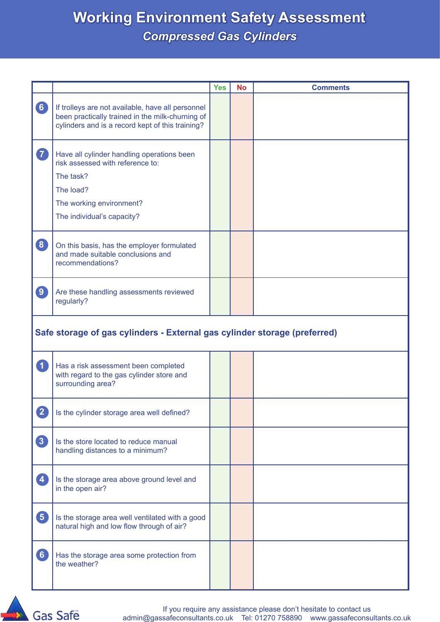|                             |                                                                                                                                                                    | <b>Yes</b> | <b>No</b> | <b>Comments</b> |  |  |
|-----------------------------|--------------------------------------------------------------------------------------------------------------------------------------------------------------------|------------|-----------|-----------------|--|--|
| 6                           | If trolleys are not available, have all personnel<br>been practically trained in the milk-churning of<br>cylinders and is a record kept of this training?          |            |           |                 |  |  |
| 7                           | Have all cylinder handling operations been<br>risk assessed with reference to:<br>The task?<br>The load?<br>The working environment?<br>The individual's capacity? |            |           |                 |  |  |
| $\boxed{8}$                 | On this basis, has the employer formulated<br>and made suitable conclusions and<br>recommendations?                                                                |            |           |                 |  |  |
| $\boxed{9}$                 | Are these handling assessments reviewed<br>regularly?                                                                                                              |            |           |                 |  |  |
|                             | Safe storage of gas cylinders - External gas cylinder storage (preferred)                                                                                          |            |           |                 |  |  |
| $\left  \mathbf{1} \right $ | Has a risk assessment been completed<br>with regard to the gas cylinder store and<br>surrounding area?                                                             |            |           |                 |  |  |
| $\overline{2}$              | Is the cylinder storage area well defined?                                                                                                                         |            |           |                 |  |  |
| 3                           | Is the store located to reduce manual<br>handling distances to a minimum?                                                                                          |            |           |                 |  |  |
| $\overline{4}$              | Is the storage area above ground level and<br>in the open air?                                                                                                     |            |           |                 |  |  |
| 5                           | Is the storage area well ventilated with a good<br>natural high and low flow through of air?                                                                       |            |           |                 |  |  |
| 6                           | Has the storage area some protection from<br>the weather?                                                                                                          |            |           |                 |  |  |

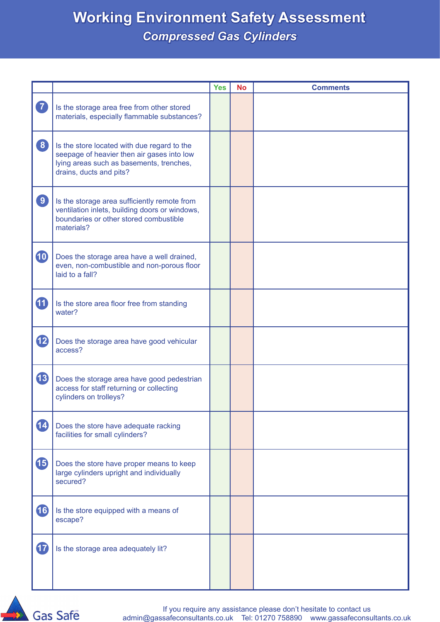|             |                                                                                                                                                                  | <b>Yes</b> | <b>No</b> | <b>Comments</b> |
|-------------|------------------------------------------------------------------------------------------------------------------------------------------------------------------|------------|-----------|-----------------|
| 7           | Is the storage area free from other stored<br>materials, especially flammable substances?                                                                        |            |           |                 |
| $\boxed{8}$ | Is the store located with due regard to the<br>seepage of heavier then air gases into low<br>lying areas such as basements, trenches,<br>drains, ducts and pits? |            |           |                 |
| $\boxed{9}$ | Is the storage area sufficiently remote from<br>ventilation inlets, building doors or windows,<br>boundaries or other stored combustible<br>materials?           |            |           |                 |
| 10          | Does the storage area have a well drained,<br>even, non-combustible and non-porous floor<br>laid to a fall?                                                      |            |           |                 |
| 40          | Is the store area floor free from standing<br>water?                                                                                                             |            |           |                 |
| <b>12</b>   | Does the storage area have good vehicular<br>access?                                                                                                             |            |           |                 |
| <b>13</b>   | Does the storage area have good pedestrian<br>access for staff returning or collecting<br>cylinders on trolleys?                                                 |            |           |                 |
| 14          | Does the store have adequate racking<br>facilities for small cylinders?                                                                                          |            |           |                 |
| <b>15</b>   | Does the store have proper means to keep<br>large cylinders upright and individually<br>secured?                                                                 |            |           |                 |
| 16          | Is the store equipped with a means of<br>escape?                                                                                                                 |            |           |                 |
| $\bf{r}$    | Is the storage area adequately lit?                                                                                                                              |            |           |                 |

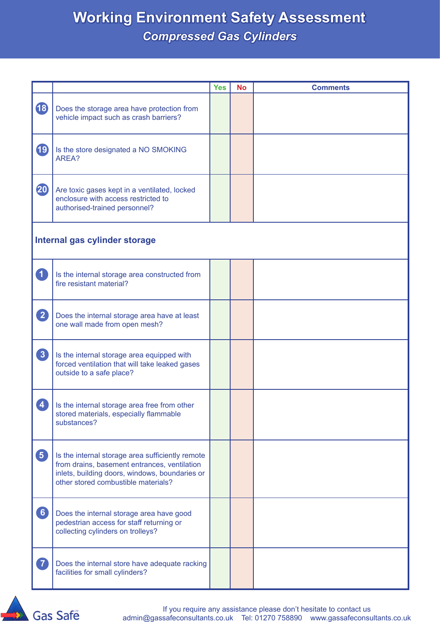|             |                                                                                                                                                                                           | <b>Yes</b> | <b>No</b> | <b>Comments</b> |  |  |
|-------------|-------------------------------------------------------------------------------------------------------------------------------------------------------------------------------------------|------------|-----------|-----------------|--|--|
| <b>18</b>   | Does the storage area have protection from<br>vehicle impact such as crash barriers?                                                                                                      |            |           |                 |  |  |
| 19          | Is the store designated a NO SMOKING<br>AREA?                                                                                                                                             |            |           |                 |  |  |
| 20          | Are toxic gases kept in a ventilated, locked<br>enclosure with access restricted to<br>authorised-trained personnel?                                                                      |            |           |                 |  |  |
|             | Internal gas cylinder storage                                                                                                                                                             |            |           |                 |  |  |
| 1           | Is the internal storage area constructed from<br>fire resistant material?                                                                                                                 |            |           |                 |  |  |
| 2           | Does the internal storage area have at least<br>one wall made from open mesh?                                                                                                             |            |           |                 |  |  |
| $\boxed{3}$ | Is the internal storage area equipped with<br>forced ventilation that will take leaked gases<br>outside to a safe place?                                                                  |            |           |                 |  |  |
| 4           | Is the internal storage area free from other<br>stored materials, especially flammable<br>substances?                                                                                     |            |           |                 |  |  |
| 5           | Is the internal storage area sufficiently remote<br>from drains, basement entrances, ventilation<br>inlets, building doors, windows, boundaries or<br>other stored combustible materials? |            |           |                 |  |  |
| 6           | Does the internal storage area have good<br>pedestrian access for staff returning or<br>collecting cylinders on trolleys?                                                                 |            |           |                 |  |  |
| $\boxed{7}$ | Does the internal store have adequate racking<br>facilities for small cylinders?                                                                                                          |            |           |                 |  |  |

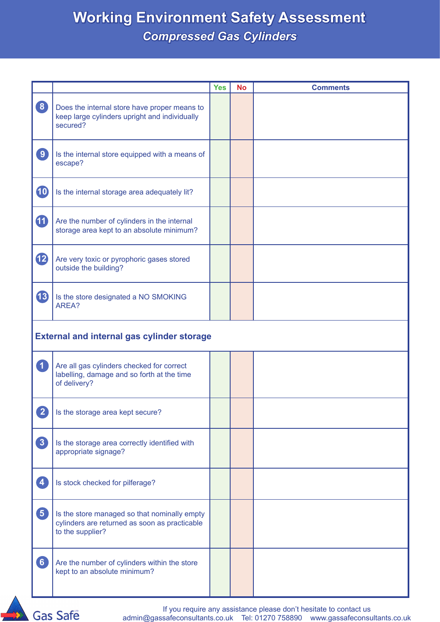|                |                                                                                                                   | <b>Yes</b> | <b>No</b> | <b>Comments</b> |  |  |
|----------------|-------------------------------------------------------------------------------------------------------------------|------------|-----------|-----------------|--|--|
| $\bullet$      | Does the internal store have proper means to<br>keep large cylinders upright and individually<br>secured?         |            |           |                 |  |  |
| $\boxed{9}$    | Is the internal store equipped with a means of<br>escape?                                                         |            |           |                 |  |  |
| <b>10</b>      | Is the internal storage area adequately lit?                                                                      |            |           |                 |  |  |
| 10             | Are the number of cylinders in the internal<br>storage area kept to an absolute minimum?                          |            |           |                 |  |  |
| $\mathbf{B}$   | Are very toxic or pyrophoric gases stored<br>outside the building?                                                |            |           |                 |  |  |
| 13             | Is the store designated a NO SMOKING<br>AREA?                                                                     |            |           |                 |  |  |
|                | <b>External and internal gas cylinder storage</b>                                                                 |            |           |                 |  |  |
| $\overline{1}$ | Are all gas cylinders checked for correct<br>labelling, damage and so forth at the time<br>of delivery?           |            |           |                 |  |  |
| $\mathbf{2}$   | Is the storage area kept secure?                                                                                  |            |           |                 |  |  |
| 3              | Is the storage area correctly identified with<br>appropriate signage?                                             |            |           |                 |  |  |
| $\overline{4}$ | Is stock checked for pilferage?                                                                                   |            |           |                 |  |  |
| $\boxed{5}$    | Is the store managed so that nominally empty<br>cylinders are returned as soon as practicable<br>to the supplier? |            |           |                 |  |  |
| 6              | Are the number of cylinders within the store<br>kept to an absolute minimum?                                      |            |           |                 |  |  |
|                |                                                                                                                   |            |           |                 |  |  |



If you require any assistance please don't hesitate to contact us admin@gassafeconsultants.co.uk Tel: 01270 758890 www.gassafeconsultants.co.uk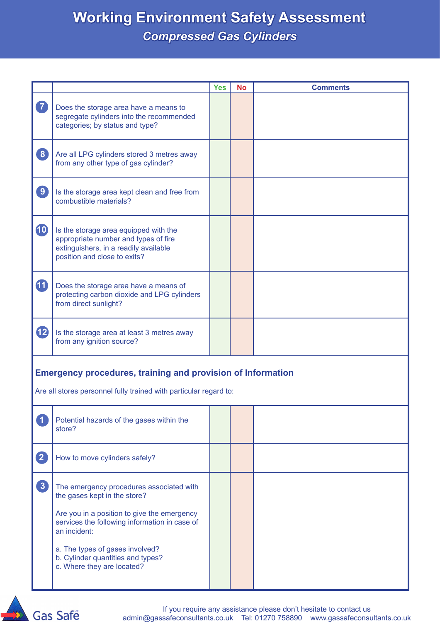| Does the storage area have a means to<br>segregate cylinders into the recommended<br>categories; by status and type?                                   |  |                                                                                                                                         |
|--------------------------------------------------------------------------------------------------------------------------------------------------------|--|-----------------------------------------------------------------------------------------------------------------------------------------|
| Are all LPG cylinders stored 3 metres away<br>from any other type of gas cylinder?                                                                     |  |                                                                                                                                         |
| Is the storage area kept clean and free from<br>combustible materials?                                                                                 |  |                                                                                                                                         |
| Is the storage area equipped with the<br>appropriate number and types of fire<br>extinguishers, in a readily available<br>position and close to exits? |  |                                                                                                                                         |
| Does the storage area have a means of<br>protecting carbon dioxide and LPG cylinders<br>from direct sunlight?                                          |  |                                                                                                                                         |
| Is the storage area at least 3 metres away<br>from any ignition source?                                                                                |  |                                                                                                                                         |
|                                                                                                                                                        |  |                                                                                                                                         |
|                                                                                                                                                        |  |                                                                                                                                         |
| Potential hazards of the gases within the<br>store?                                                                                                    |  |                                                                                                                                         |
| How to move cylinders safely?                                                                                                                          |  |                                                                                                                                         |
| The emergency procedures associated with<br>the gases kept in the store?                                                                               |  |                                                                                                                                         |
| Are you in a position to give the emergency<br>services the following information in case of<br>an incident:                                           |  |                                                                                                                                         |
| a. The types of gases involved?<br>b. Cylinder quantities and types?<br>c. Where they are located?                                                     |  |                                                                                                                                         |
|                                                                                                                                                        |  | <b>Emergency procedures, training and provision of Information</b><br>Are all stores personnel fully trained with particular regard to: |